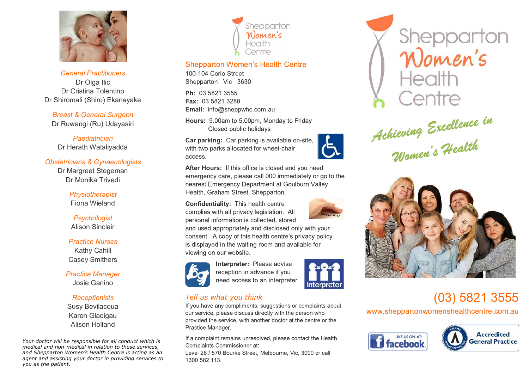

*General Practitioners* Dr Olga Ilic Dr Cristina Tolentino Dr Shiromali (Shiro) Ekanayake

*Breast & General Surgeon* Dr Ruwangi (Ru) Udayasiri

*Paediatrician* Dr Herath Wataliyadda

### *Obstetricians & Gynaecologists*

Dr Margreet Stegeman Dr Monika Trivedi

> *Physiotherapist* Fiona Wieland

*Psychologist* Alison Sinclair

*Practice Nurses* Kathy Cahill Casey Smithers

*Practice Manager* Josie Ganino

## *Receptionists*

Susy Bevilacqua Karen Gladigau Alison Holland

*Your doctor will be responsible for all conduct which is medical and non-medical in relation to these services, and Shepparton Women's Health Centre is acting as an agent and assisting your doctor in providing services to you as the patient.*



## **Shepparton Women's Health Centre**

100-104 Corio Street Shepparton Vic 3630

Ph: 03 5821 3555 Fax: 03 5821 3288 Email: info@sheppwhc.com.au

Hours: 9.00am to 5.00pm, Monday to Friday Closed public holidays

**Car parking:** Car parking is available on-site, with two parks allocated for wheel-chair access.

After Hours: If this office is closed and you need emergency care, please call 000 immediately or go to the nearest Emergency Department at Goulburn Valley Health, Graham Street, Shepparton.

**Confidentiality: This health centre** complies with all privacy legislation. All personal information is collected, stored and used appropriately and disclosed only with your consent. A copy of this health centre's privacy policy is displayed in the waiting room and available for viewing on our website.



Interpreter: Please advise reception in advance if you need access to an interpreter.



# Tell us what you think

If you have any compliments, suggestions or complaints about our service, please discuss directly with the person who provided the service, with another doctor at the centre or the Practice Manager.

If a complaint remains unresolved, please contact the Health Complaints Commissioner at:

Level 26 / 570 Bourke Street, Melbourne, Vic, 3000 or call 1300 582 113



Achieving Excellence in<br>Women's Health



# (03) 5821 3555

www.sheppartonwomenshealthcentre.com.au